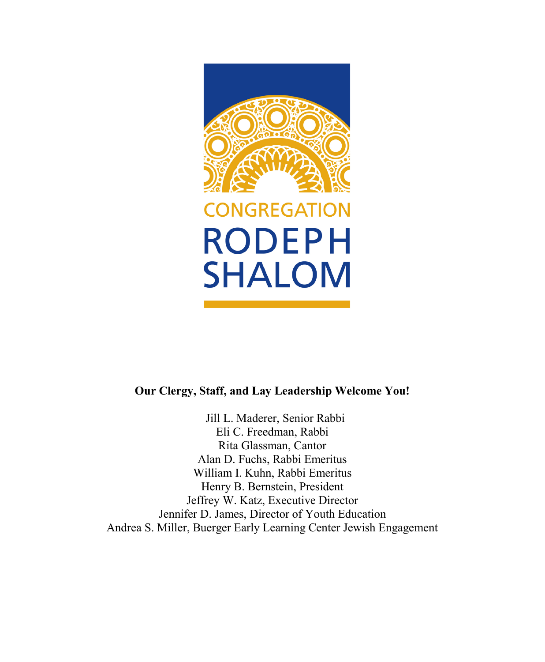

**Our Clergy, Staff, and Lay Leadership Welcome You!** 

Jill L. Maderer, Senior Rabbi Eli C. Freedman, Rabbi Rita Glassman, Cantor Alan D. Fuchs, Rabbi Emeritus William I. Kuhn, Rabbi Emeritus Henry B. Bernstein, President Jeffrey W. Katz, Executive Director Jennifer D. James, Director of Youth Education Andrea S. Miller, Buerger Early Learning Center Jewish Engagement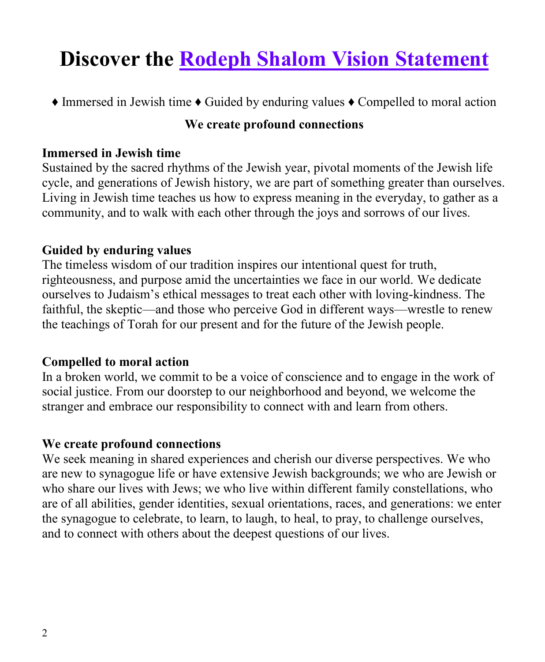## **Discover the [Rodeph Shalom Vision Statement](https://rodephshalom.org/vision/)**

♦ Immersed in Jewish time ♦ Guided by enduring values ♦ Compelled to moral action

#### **We create profound connections**

#### **Immersed in Jewish time**

Sustained by the sacred rhythms of the Jewish year, pivotal moments of the Jewish life cycle, and generations of Jewish history, we are part of something greater than ourselves. Living in Jewish time teaches us how to express meaning in the everyday, to gather as a community, and to walk with each other through the joys and sorrows of our lives.

#### **Guided by enduring values**

The timeless wisdom of our tradition inspires our intentional quest for truth, righteousness, and purpose amid the uncertainties we face in our world. We dedicate ourselves to Judaism's ethical messages to treat each other with loving-kindness. The faithful, the skeptic—and those who perceive God in different ways—wrestle to renew the teachings of Torah for our present and for the future of the Jewish people.

#### **Compelled to moral action**

In a broken world, we commit to be a voice of conscience and to engage in the work of social justice. From our doorstep to our neighborhood and beyond, we welcome the stranger and embrace our responsibility to connect with and learn from others.

#### **We create profound connections**

We seek meaning in shared experiences and cherish our diverse perspectives. We who are new to synagogue life or have extensive Jewish backgrounds; we who are Jewish or who share our lives with Jews; we who live within different family constellations, who are of all abilities, gender identities, sexual orientations, races, and generations: we enter the synagogue to celebrate, to learn, to laugh, to heal, to pray, to challenge ourselves, and to connect with others about the deepest questions of our lives.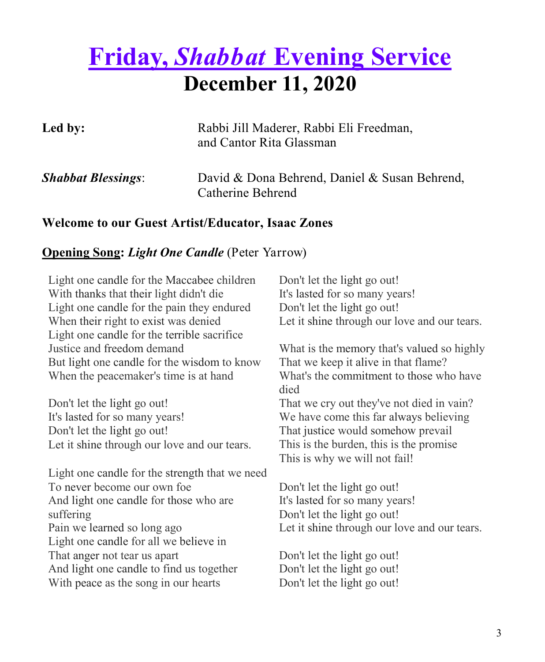# **Friday,** *Shabbat* **[Evening Service](https://www.google.com/url?q=https://us02web.zoom.us/j/465368025?pwd%3DcFdGU1ZwQTVPU2sxdFUvWEF0ZVRIdz09&sa=D&source=calendar&ust=1594564015136000&usg=AOvVaw1RDPJY64yKIVA_J3Y8aFST) December 11, 2020**

| Led by:                   | Rabbi Jill Maderer, Rabbi Eli Freedman,<br>and Cantor Rita Glassman |
|---------------------------|---------------------------------------------------------------------|
| <b>Shabbat Blessings:</b> | David & Dona Behrend, Daniel & Susan Behrend,<br>Catherine Behrend  |

#### **Welcome to our Guest Artist/Educator, Isaac Zones**

#### **Opening Song:** *Light One Candle* (Peter Yarrow)

Light one [candle](https://www.definitions.net/definition/candle) for the [Maccabee](https://www.definitions.net/definition/Maccabee) children With [thanks](https://www.definitions.net/definition/thanks) that [their](https://www.definitions.net/definition/their) light didn't die Light one [candle](https://www.definitions.net/definition/candle) for the pain they endured When [their](https://www.definitions.net/definition/their) right to [exist](https://www.definitions.net/definition/exist) was denied Light one [candle](https://www.definitions.net/definition/candle) for the [terrible](https://www.definitions.net/definition/terrible) sacrifice Justice and [freedom](https://www.definitions.net/definition/freedom) demand But [light](https://www.definitions.net/definition/light) one [candle](https://www.definitions.net/definition/candle) for the [wisdom](https://www.definitions.net/definition/wisdom) to know When the peacemaker's time is at hand

Don't let the [light](https://www.definitions.net/definition/light) go out! It's [lasted](https://www.definitions.net/definition/lasted) for so many years! Don't let the [light](https://www.definitions.net/definition/light) go out! Let it [shine](https://www.definitions.net/definition/shine) through our love and our tears.

Light one [candle](https://www.definitions.net/definition/candle) for the [strength](https://www.definitions.net/definition/strength) that we need To [never](https://www.definitions.net/definition/never) become our own foe And [light](https://www.definitions.net/definition/light) one [candle](https://www.definitions.net/definition/candle) for [those](https://www.definitions.net/definition/those) who are suffering Pain we [learned](https://www.definitions.net/definition/learned) so long ago Light one [candle](https://www.definitions.net/definition/candle) for all we [believe](https://www.definitions.net/definition/believe) in That [anger](https://www.definitions.net/definition/anger) not tear us apart And [light](https://www.definitions.net/definition/light) one [candle](https://www.definitions.net/definition/candle) to find us together With [peace](https://www.definitions.net/definition/peace) as the song in our hearts

Don't let the [light](https://www.definitions.net/definition/light) go out! It's [lasted](https://www.definitions.net/definition/lasted) for so many years! Don't let the [light](https://www.definitions.net/definition/light) go out! Let it [shine](https://www.definitions.net/definition/shine) through our love and our tears.

What is the [memory](https://www.definitions.net/definition/memory) that's [valued](https://www.definitions.net/definition/valued) so highly That we keep it [alive](https://www.definitions.net/definition/alive) in that flame? What's the [commitment](https://www.definitions.net/definition/commitment) to [those](https://www.definitions.net/definition/those) who have died That we cry out they've not died in vain? We have come this far [always](https://www.definitions.net/definition/always) believing That [justice](https://www.definitions.net/definition/justice) would [somehow](https://www.definitions.net/definition/somehow) prevail This is the burden, this is the promise This is why we will not fail!

Don't let the [light](https://www.definitions.net/definition/light) go out! It's [lasted](https://www.definitions.net/definition/lasted) for so many years! Don't let the [light](https://www.definitions.net/definition/light) go out! Let it [shine](https://www.definitions.net/definition/shine) through our love and our tears.

Don't let the [light](https://www.definitions.net/definition/light) go out! Don't let the [light](https://www.definitions.net/definition/light) go out! Don't let the [light](https://www.definitions.net/definition/light) go out!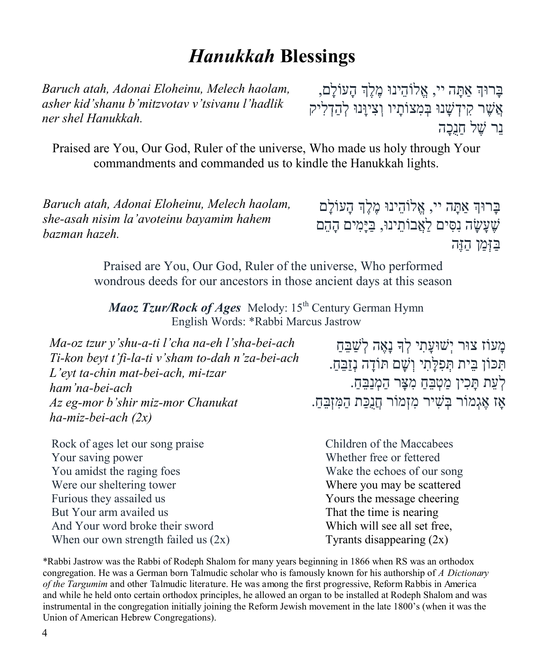### *Hanukkah* **Blessings**

*Baruch atah, Adonai Eloheinu, Melech haolam, asher kid'shanu b'mitzvotav v'tsivanu l'hadlik ner shel Hanukkah.*

בָּרּוְך אַתָּה יי, אֱלֹוהֵינּו מֶלְֶך הָּעֹולָּם, אֲשֶר קִידְּשָּנּו בְּמִצֹותָּיו וְּצִיּוָּנּו לְּהַדְּלִיק נֵר שֶל חַנֻכָּה

Praised are You, Our God, Ruler of the universe, Who made us holy through Your commandments and commanded us to kindle the Hanukkah lights.

*Baruch atah, Adonai Eloheinu, Melech haolam, she-asah nisim la'avoteinu bayamim hahem bazman hazeh.*

בָּרּוְך אַתָּה יי, אֱלֹוהֵינּו מֶלְֶך הָּעֹולָּם שֶעָּשָּה נִסִים לַאֲבֹותֵינּו, בַיָּמִים הָּהֵם בַזְּמַן הַזֶה

Praised are You, Our God, Ruler of the universe, Who performed wondrous deeds for our ancestors in those ancient days at this season

*Maoz Tzur/Rock of Ages Melody:* 15<sup>th</sup> Century German Hymn English Words: \*Rabbi Marcus Jastrow

*Ma-oz tzur y'shu-a-ti l'cha na-eh l'sha-bei-ach Ti-kon beyt t'fi-la-ti v'sham to-dah n'za-bei-ach L'eyt ta-chin mat-bei-ach, mi-tzar ham'na-bei-ach Az eg-mor b'shir miz-mor Chanukat ha-miz-bei-ach (2x)*

Rock of ages let our song praise Your saving power You amidst the raging foes Were our sheltering tower Furious they assailed us But Your arm availed us And Your word broke their sword When our own strength failed us  $(2x)$ 

מָּעֹוז צּור יְּשּועָּתִי לְָּך נָּאֶה לְּשַבֵחַ תִּכֹון בֵית תְּפִלָּתִי וְּשָּם תֹודָּה נְּזַבֵח.ַ לְּעֵת תָּכִין מַטְּבֵחַ מִצָּר הַמְּנַבֵח.ַ ָאז אֶגְּמֹור בְּשִיר מִזְּמֹור חֲנֻּכַת הַמִזְּבֵח.ַ

Children of the Maccabees Whether free or fettered Wake the echoes of our song Where you may be scattered Yours the message cheering That the time is nearing Which will see all set free, Tyrants disappearing (2x)

\*Rabbi Jastrow was the Rabbi of Rodeph Shalom for many years beginning in 1866 when RS was an orthodox congregation. He was a German born Talmudic scholar who is famously known for his authorship of *A Dictionary of the Targumim* and other Talmudic literature. He was among the first progressive, Reform Rabbis in America and while he held onto certain orthodox principles, he allowed an organ to be installed at Rodeph Shalom and was instrumental in the congregation initially joining the Reform Jewish movement in the late 1800's (when it was the Union of American Hebrew Congregations).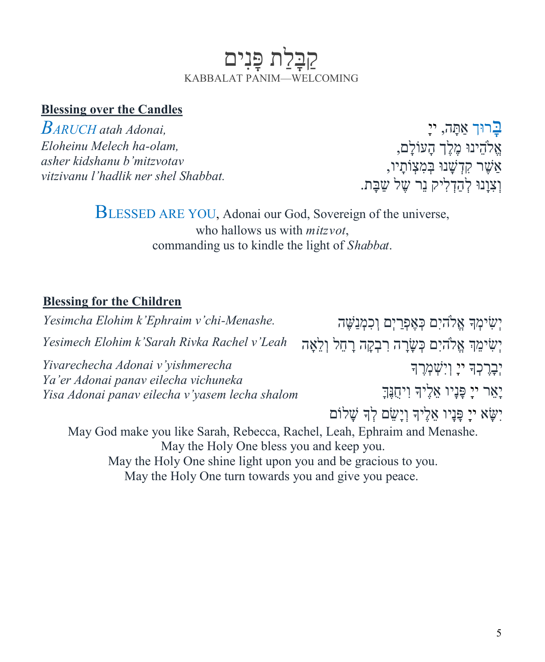### קַבָּלַת פָּּנִים KABBALAT PANIM—WELCOMING

#### **Blessing over the Candles**

*BARUCH atah Adonai, Eloheinu Melech ha-olam, asher kidshanu b'mitzvotav vitzivanu l'hadlik ner shel Shabbat.*

בְּרוּך אִתַּה, ייַ אֱֹלהֵינּו מֶלֶך הָּעֹולָּם, אַשֶר קִדְּשָּנּו בְּמִצְֹּותָּיו, וְּצִוָּנּו לְּהַדְּלִיק נֵר שֶל שַבָּת.

BLESSED ARE YOU, Adonai our God, Sovereign of the universe, who hallows us with *mitzvot*, commanding us to kindle the light of *Shabbat*.

#### **Blessing for the Children**

יְּשִימְָּך אֱֹלהיִם ּכְּאֶפְּרַ יְּם וְּכִמְּנַשֶה *.Menashe-chi'v Ephraim'k Elohim Yesimcha* May God make you like Sarah, Rebecca, Rachel, Leah, Ephraim and Menashe. May the Holy One bless you and keep you. May the Holy One shine light upon you and be gracious to you. May the Holy One turn towards you and give you peace. יְשִׂימַהְ אֲלֹהִים כַּשִׂרְה רִבְקָה רִחְלְ וְלָאֶה *Yesimech Elohim k'Sarah Rivka Rachel v'Leah Yivarechecha Adonai v'yishmerecha Ya'er Adonai panav eilecha vichuneka Yisa Adonai panav eilecha v'yasem lecha shalom* יְבָרֶכְךָ יִיַ וְיִשְׁמְרֶךָ יָּאֵר ייָּ פָּּנָּיו אֵלֶיָך וִיחֻנֶךָּ יִשָּא ייָּ פָּּנָּיו אֵלֶיָך וְּיָּשֵם לְָּך שָּלֹום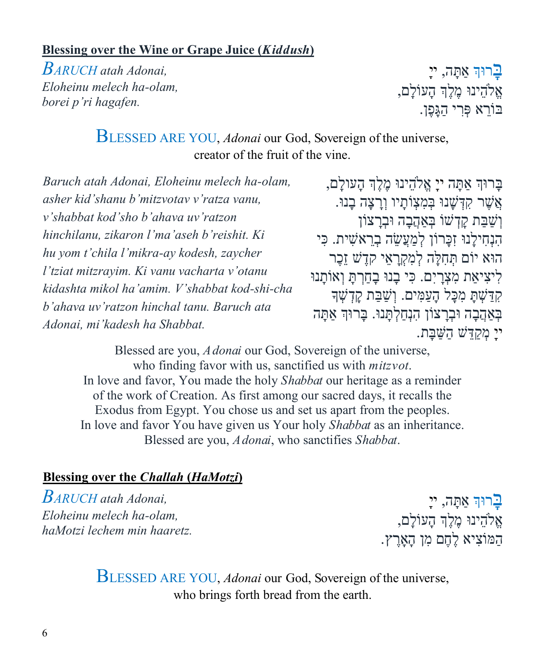#### **Blessing over the Wine or Grape Juice (***Kiddush***)**

*BARUCH atah Adonai, Eloheinu melech ha-olam, borei p'ri hagafen.*

בָּ רּוְך אַתָּה, ייָּ אֱֹלהֵינּו מֶלְֶך הָּעֹולָּם, בֹורֵ א פְּּרִ י הַגָּפֶן.

BLESSED ARE YOU, *Adonai* our God, Sovereign of the universe, creator of the fruit of the vine.

*Baruch atah Adonai, Eloheinu melech ha-olam, asher kid'shanu b'mitzvotav v'ratza vanu, v'shabbat kod'sho b'ahava uv'ratzon hinchilanu, zikaron l'ma'aseh b'reishit. Ki hu yom t'chila l'mikra-ay kodesh, zaycher l'tziat mitzrayim. Ki vanu vacharta v'otanu kidashta mikol ha'amim. V'shabbat kod-shi-cha b'ahava uv'ratzon hinchal tanu. Baruch ata Adonai, mi'kadesh ha Shabbat.*

בָּרּוְך אַתָּה ייָּ אֱֹלהֵינּו מֶלְֶך הָּעולָּם, אֲשֶר קִדְּשָּנּו בְּמִצְֹּותָּיו וְּרָּ צָּה בָּנּו. וְּשַבַת קָּדְּשֹו בְַּאהֲבָּה ּובְּרָּ צֹון הִנְּחִילָּנּו זִּכָּרֹון לְּמַעֲשֵה בְּרֵ אשִית. ּכִי הּוא יֹום תְּחִלָּה לְּמִקְּרָּ אֵי קדֶש זֵכֶר לִיצִיַאת מִצְּרָּ יִם. ּכִי בָּנּו בָּחַרְּ תָּ וְּאֹותָּנּו קִדַשְּתָּ מִּכָּל הָּעַמִים. וְּשַבַת קָּדְּשְָּך בְַּאהֲבָּה ּובְּרָּ צֹון הִנְּחַלְּתָּנּו. בָּרּוְך אַתָּה ייָּ מְּקַדֵש הַשַבָּת.

Blessed are you, *Adonai* our God, Sovereign of the universe, who finding favor with us, sanctified us with *mitzvot*. In love and favor, You made the holy *Shabbat* our heritage as a reminder of the work of Creation. As first among our sacred days, it recalls the Exodus from Egypt. You chose us and set us apart from the peoples. In love and favor You have given us Your holy *Shabbat* as an inheritance. Blessed are you, *Adonai*, who sanctifies *Shabbat*.

#### **Blessing over the** *Challah* **(***HaMotzi***)**

*BARUCH atah Adonai, Eloheinu melech ha-olam, haMotzi lechem min haaretz.*

בָּ רּוְך אַתָּה, ייָּ אֱֹלהֵינּו מֶלְֶך הָּעֹולָּם, הַמֹוצִיא לֶחֶם מִן הָָּארֶ ץ.

BLESSED ARE YOU, *Adonai* our God, Sovereign of the universe, who brings forth bread from the earth.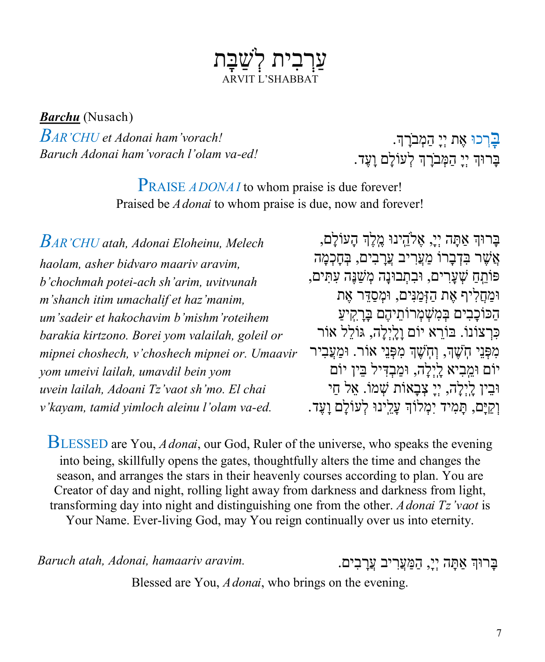### עַרְּ בִית ֹלְּשַבָּת ARVIT L'SHABBAT

*Barchu* (Nusach)

*BAR'CHU et Adonai ham'vorach! Baruch Adonai ham'vorach l'olam va-ed!*

בָּרְכוּ אֶת יְיָ הַמְּבֹרַךָ. ּבְּרוּךְ יְיָ הַמְּבֹרָךְ לְעוֹלַם וַעֵּד.

PRAISE *ADONAI* to whom praise is due forever! Praised be *Adonai* to whom praise is due, now and forever!

*BAR'CHU atah, Adonai Eloheinu, Melech haolam, asher bidvaro maariv aravim, b'chochmah potei-ach sh'arim, uvitvunah m'shanch itim umachalif et haz'manim, um'sadeir et hakochavim b'mishm'roteihem barakia kirtzono. Borei yom valailah, goleil or mipnei choshech, v'choshech mipnei or. Umaavir yom umeivi lailah, umavdil bein yom uvein lailah, Adoani Tz'vaot sh'mo. El chai v'kayam, tamid yimloch aleinu l'olam va-ed.* 

בָּרּוְך אַתָּה יְּי,ָּ אֶֹלהֵ ֵֽינּו מֶ ֵֽלְֶך הָּעֹולָּם, אֲשֶר בִדְּבָּרֹו מַעֲרִ יב עֲרָּ בִים, בְּחָּכְּמָּה ַּפּוֹתָה שָׁעֲרִים, וּבִתְבוּנַה מְשִׁנֵּה עִתִּים, ּומַחֲלִיף אֶת הַזְּמַנִים, ּומְּסַדֵר אֶת הַּכֹוכָּבִים בְּמִשְּמְּרֹותֵיהֶם בָּרָּ קִ ֵֽיעַ ּכִרְּ צֹונֹו. בֹורֵ א יֹום וָּלָּ ֵֽיְּלָּה, גֹולֵל אֹור מִפְּּנֵי ח ֵֹֽשְֶך, וְּח ֵֹֽשְֶך מִפְּּנֵי אֹור. ּומַעֲבִיר יֹום ּומֵ ֵֽבִיא לָּ ֵֽיְּלָּה, ּומַבְּדִיל בֵין יֹום ּובֵין לָּ ֵֽיְּלָּה, יְּיָּ צְּבָּאֹות שְּמֹו. אֵל חַי וְּקַיָּם, תָּמִיד יִמְּלֹוְך עָּלֵ ֵֽינּו לְּעֹולָּם וָּעֶד.

BLESSED are You, *Adonai*, our God, Ruler of the universe, who speaks the evening into being, skillfully opens the gates, thoughtfully alters the time and changes the season, and arranges the stars in their heavenly courses according to plan. You are Creator of day and night, rolling light away from darkness and darkness from light, transforming day into night and distinguishing one from the other. *Adonai Tz'vaot* is Your Name. Ever-living God, may You reign continually over us into eternity.

בָּרּוְך אַתָּה יְּי,ָּ הַמַעֲרִ יב עֲרָּ בִים. *.aravim hamaariv ,Adonai ,atah Baruch*

Blessed are You, *Adonai*, who brings on the evening.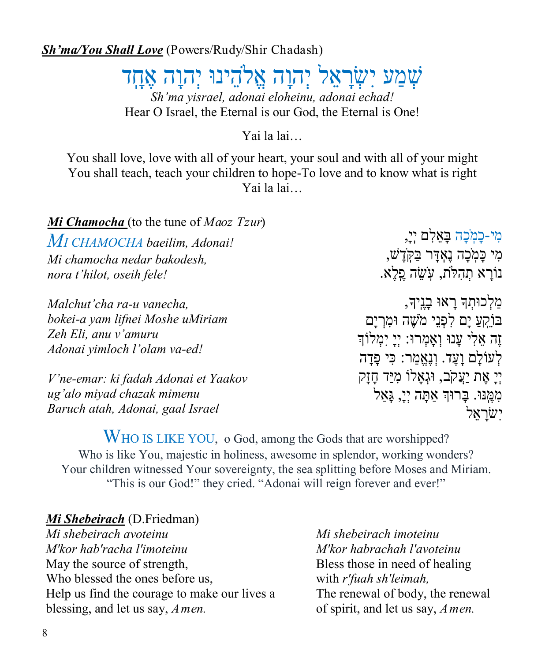*Sh'ma/You Shall Love* (Powers/Rudy/Shir Chadash)

שְּמַע יִשְּרָּ אֵל יְּהוָּה אֱֹלהֵינּו יְּהוָּה אֶחָּ ֵֽד

*Sh'ma yisrael, adonai eloheinu, adonai echad!* Hear O Israel, the Eternal is our God, the Eternal is One!

Yai la lai…

You shall love, love with all of your heart, your soul and with all of your might You shall teach, teach your children to hope-To love and to know what is right Yai la lai…

#### *Mi Chamocha* (to the tune of *Maoz Tzur*)

*MI CHAMOCHA baeilim, Adonai! Mi chamocha nedar bakodesh, nora t'hilot, oseih fele!* 

*Malchut'cha ra-u vanecha, bokei-a yam lifnei Moshe uMiriam Zeh Eli, anu v'amuru Adonai yimloch l'olam va-ed!*

*V'ne-emar: ki fadah Adonai et Yaakov ug'alo miyad chazak mimenu Baruch atah, Adonai, gaal Israel* 

מִי-כָּמ ֵֹֽכָּה בָּאֵלִם יְּי,ָּ מִי כּמֹכָה נאִדְר בַּקְדָשׁ, נוֹרָא תְּהָלֹת, עִ<sup>ֹּ</sup>שֶׂה פֵלֵא.

מַלְּכּותְָּך רָּ אּו בָּנֶ ֵֽיָך, בֹוקֵ ֵֽעַ יָּם לִפְּנֵי מ ֹשֶה ּומִרְּ יָּם זֶה אֵלִי עָּנּו וְָּאמְּרּו: יְּיָּ יִמְּלֹוְך לְּעֹולָּם וָּעֶד. וְּנֶאֱמַר: ּכִי פָּדָּה יְיָ אֶת יִעֲקֹב, וּגְאלוֹ מִיּד חָזָק מִמֶ ֵֽנּו. בָּרּוְך אַתָּה יְּי,ָּ גַָּאל יִשׂראָל

WHO IS LIKE YOU, o God, among the Gods that are worshipped? Who is like You, majestic in holiness, awesome in splendor, working wonders? Your children witnessed Your sovereignty, the sea splitting before Moses and Miriam. "This is our God!" they cried. "Adonai will reign forever and ever!"

*Mi Shebeirach* (D.Friedman) *Mi shebeirach avoteinu M'kor hab'racha l'imoteinu* May the source of strength, Who blessed the ones before us, Help us find the courage to make our lives a blessing, and let us say, *Amen.*

*Mi shebeirach imoteinu M'kor habrachah l'avoteinu* Bless those in need of healing with *r'fuah sh'leimah,* The renewal of body, the renewal of spirit, and let us say, *Amen.*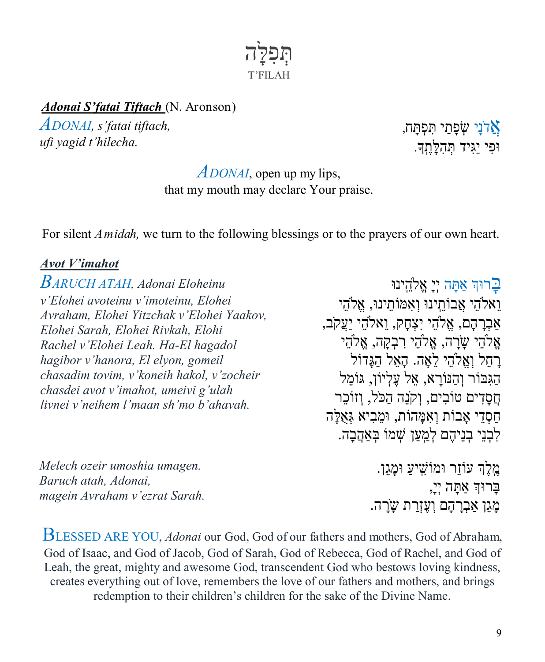### תְּפִלָּה T'FILAH

*Adonai S'fatai Tiftach* (N. Aronson)

*ADONAI, s'fatai tiftach, ufi yagid t'hilecha.*

אֲדֹנַי שָׂפַּתַי תִּפְתַּח, ּופִי יַגִיד תְּהִלָּתֶ ֵָֽך.

*ADONAI*, open up my lips, that my mouth may declare Your praise.

For silent *Amidah,* we turn to the following blessings or to the prayers of our own heart.

#### *Avot V'imahot*

*BARUCH ATAH, Adonai Eloheinu v'Elohei avoteinu v'imoteinu, Elohei Avraham, Elohei Yitzchak v'Elohei Yaakov, Elohei Sarah, Elohei Rivkah, Elohi Rachel v'Elohei Leah. Ha-El hagadol hagibor v'hanora, El elyon, gomeil chasadim tovim, v'koneih hakol, v'zocheir chasdei avot v'imahot, umeivi g'ulah livnei v'neihem l'maan sh'mo b'ahavah.*

*Melech ozeir umoshia umagen. Baruch atah, Adonai, magein Avraham v'ezrat Sarah.*

בָּ רּוְך אַתָּה יְּיָּ אֱֹלהֵ ֵֽינּו וֵאֹלהֵי אֲבֹותֵ ֵֽינּו וְּאִמֹותֵינּו, אֱֹלהֵי ַאבְּרָּ הָּם, אֱֹלהֵי יִצְּחָּק, וֵאֹלהֵי יַעֲק ֹב, אֱֹלהֵי ש ָֹּרָּ ה, אֱֹלהֵי רִ בְּקָּה, אֱֹלהֵי רָּ חֵל וְּאֱֹלהֵי לֵָאה. הָּאֵל הַגָּדֹול הַגִבֹור וְּהַנֹורָּ א, אֵל עֶלְּיֹון, גֹומֵל חֲסָדִים טוֹבִים, וְקֹנֵה הַכֹּל, וְזוֹכֵר חַסְּדֵי ָאבֹות וְּאִמָּהֹות, ּומֵבִיא גְּאֻלָּה לִבְּנֵי בְּנֵיהֶם לְּמַ ֵֽעַן שְּמֹו בְַּאהֲבָּה.

> מֶ ֵֽלְֶך עֹוזֵר ּומֹושִ ֵֽיעַ ּומָּגֵן. בָּרּוְך אַתָּה יְּי,ָּ מְּגֵן אַבְרָהָם וְעֶזְרַת שֲׂרַה.

BLESSED ARE YOU, *Adonai* our God, God of our fathers and mothers, God of Abraham, God of Isaac, and God of Jacob, God of Sarah, God of Rebecca, God of Rachel, and God of Leah, the great, mighty and awesome God, transcendent God who bestows loving kindness, creates everything out of love, remembers the love of our fathers and mothers, and brings redemption to their children's children for the sake of the Divine Name.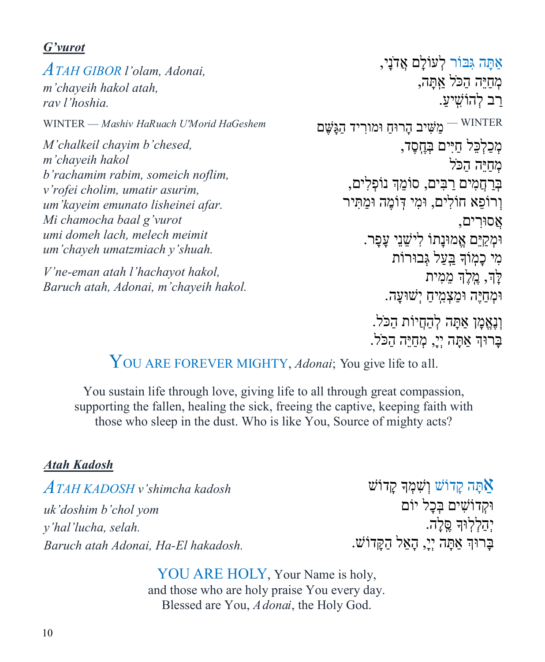#### *G'vurot*

*ATAH GIBOR l'olam, Adonai, m'chayeih hakol atah, rav l'hoshia.*  WINTER — *Mashiv HaRuach U'Morid HaGeshem M'chalkeil chayim b'chesed, m'chayeih hakol b'rachamim rabim, someich noflim, v'rofei cholim, umatir asurim, um'kayeim emunato lisheinei afar. Mi chamocha baal g'vurot umi domeh lach, melech meimit um'chayeh umatzmiach y'shuah. V'ne-eman atah l'hachayot hakol, Baruch atah, Adonai, m'chayeih hakol.*

אַתַּה גִּבּוֹר לְעוֹלַם אֲדֹנַי, מְחִיּה הכֹּל אָתַּה, רַ ב לְּהֹושִ ֵֽיע.ַ מַשִּׁיב הָרוּחַ וּמורִיד הַגָּשֶׁם  $^{\rm WINTER}$ מְכַלְּכֵּל חַיִּים בְּחֶסֶד, מְחִיּה הכּל בְּרַ חֲמִים רַ בִים, סֹומְֵך נֹופְּלִים, וְּרֹופֵא חֹולִים, ּומִי דֵֹֽומֶה ּומַתִיר אֲסּורִ ים, ּומְּקַיֵם אֱמּונָּתֹו לִישֵנֵי עָּפָּר. מִי כָּמֵֹֽוָך בַ ֵֽעַל גְּבּורֹות לְָּך, מֶ ֵֽלְֶך מֵמִית ּומְּחַיֶה ּומַצְּמִ ֵֽיחַ יְּשּועָּה. וְּנֶאֱמָּן אַתָּה לְּהַחֲיֹות הַּכ ֹל. ַּבְּרוּךְ אַתַּה יְיָ, מְחַיֶּה הַכֹּל.

YOU ARE FOREVER MIGHTY, *Adonai*; You give life to all.

You sustain life through love, giving life to all through great compassion, supporting the fallen, healing the sick, freeing the captive, keeping faith with those who sleep in the dust. Who is like You, Source of mighty acts?

#### *Atah Kadosh*

*ATAH KADOSH v'shimcha kadosh uk'doshim b'chol yom y'hal'lucha, selah. Baruch atah Adonai, Ha-El hakadosh.* אַתַּה קַדוֹשׁ וְשָׁמְךָ קַדוֹשׁ ּוקְּדֹושִים בְּכָּל יֹום יְּהַלְּלֵּֽוָך סֶ ֵֽלָּה. בָּרּוְך אַתָּה יְּי,ָּ הָּאֵל הַקָּּדֹוש.

> YOU ARE HOLY, Your Name is holy, and those who are holy praise You every day. Blessed are You, *Adonai*, the Holy God.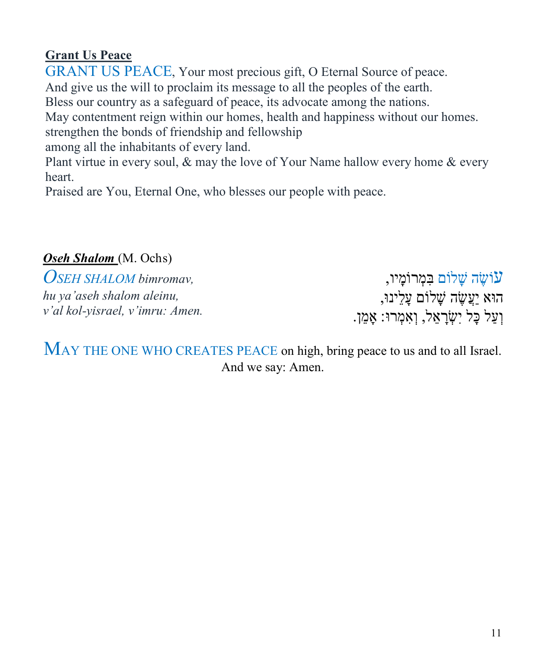#### **Grant Us Peace**

GRANT US PEACE, Your most precious gift, O Eternal Source of peace. And give us the will to proclaim its message to all the peoples of the earth. Bless our country as a safeguard of peace, its advocate among the nations. May contentment reign within our homes, health and happiness without our homes. strengthen the bonds of friendship and fellowship among all the inhabitants of every land. Plant virtue in every soul, & may the love of Your Name hallow every home & every heart.

Praised are You, Eternal One, who blesses our people with peace.

#### *Oseh Shalom* (M. Ochs)

*OSEH SHALOM bimromav, hu ya'aseh shalom aleinu, v'al kol-yisrael, v'imru: Amen.*

עֹושֶה שָּלֹום בִמְּרֹומָּיו, הּוא יַעֲשֶה שָּלֹום עָּלֵינּו, וְּעַל ּכָּל יִשְּרָּ אֵל, וְּאִמְּרּו: ָאמֵן.

MAY THE ONE WHO CREATES PEACE on high, bring peace to us and to all Israel. And we say: Amen.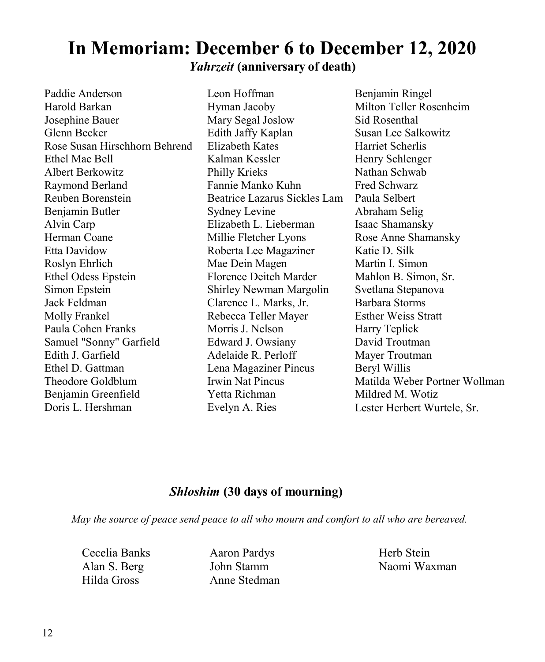### **In Memoriam: December 6 to December 12, 2020** *Yahrzeit* **(anniversary of death)**

Paddie Anderson Harold Barkan Josephine Bauer Glenn Becker Rose Susan Hirschhorn Behrend Ethel Mae Bell Albert Berkowitz Raymond Berland Reuben Borenstein Benjamin Butler Alvin Carp Herman Coane Etta Davidow Roslyn Ehrlich Ethel Odess Epstein Simon Epstein Jack Feldman Molly Frankel Paula Cohen Franks Samuel "Sonny" Garfield Edith J. Garfield Ethel D. Gattman Theodore Goldblum Benjamin Greenfield Doris L. Hershman

Leon Hoffman Hyman Jacoby Mary Segal Joslow Edith Jaffy Kaplan Elizabeth Kates Kalman Kessler Philly Krieks Fannie Manko Kuhn Beatrice Lazarus Sickles Lam Sydney Levine Elizabeth L. Lieberman Millie Fletcher Lyons Roberta Lee Magaziner Mae Dein Magen Florence Deitch Marder Shirley Newman Margolin Clarence L. Marks, Jr. Rebecca Teller Mayer Morris J. Nelson Edward J. Owsiany Adelaide R. Perloff Lena Magaziner Pincus Irwin Nat Pincus Yetta Richman Evelyn A. Ries

Benjamin Ringel Milton Teller Rosenheim Sid Rosenthal Susan Lee Salkowitz Harriet Scherlis Henry Schlenger Nathan Schwab Fred Schwarz Paula Selbert Abraham Selig Isaac Shamansky Rose Anne Shamansky Katie D. Silk Martin I. Simon Mahlon B. Simon, Sr. Svetlana Stepanova Barbara Storms Esther Weiss Stratt Harry Teplick David Troutman Mayer Troutman Beryl Willis Matilda Weber Portner Wollman Mildred M. Wotiz Lester Herbert Wurtele, Sr.

#### *Shloshim* **(30 days of mourning)**

*May the source of peace send peace to all who mourn and comfort to all who are bereaved.*

Cecelia Banks Alan S. Berg Hilda Gross

Aaron Pardys Herb Stein Anne Stedman

John Stamm Naomi Waxman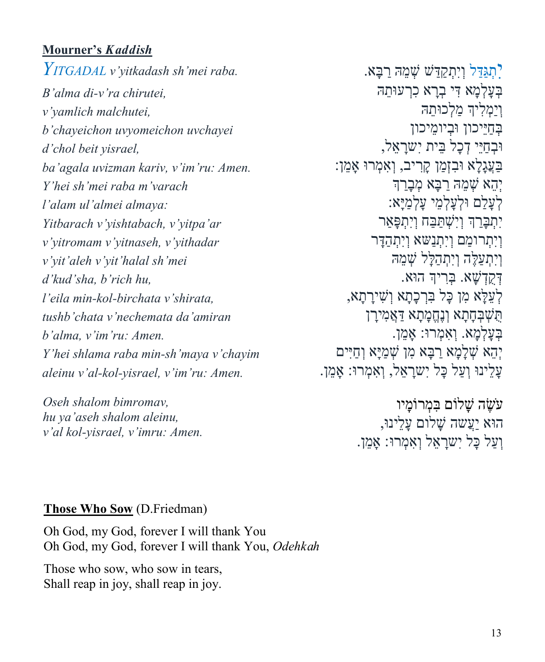#### **Mourner's** *Kaddish*

*YITGADAL v'yitkadash sh'mei raba. B'alma di-v'ra chirutei, v'yamlich malchutei, b'chayeichon uvyomeichon uvchayei d'chol beit yisrael, ba'agala uvizman kariv, v'im'ru: Amen. Y'hei sh'mei raba m'varach l'alam ul'almei almaya: Yitbarach v'yishtabach, v'yitpa'ar v'yitromam v'yitnaseh, v'yithadar v'yit'aleh v'yit'halal sh'mei d'kud'sha, b'rich hu, l'eila min-kol-birchata v'shirata, tushb'chata v'nechemata da'amiran b'alma, v'im'ru: Amen. Y'hei shlama raba min-sh'maya v'chayim aleinu v'al-kol-yisrael, v'im'ru: Amen.*

*Oseh shalom bimromav, hu ya'aseh shalom aleinu, v'al kol-yisrael, v'imru: Amen.*

יִ תְּגַדַל וְּיִתְּקַדַש שְּמֵּה רַ בָּא. בְּעָּלְּמָּא דִי בְּרָּ א כִרְּ עּותֵּה וְּיַמְּלִיְך מַלְּכּותֵּה בְּחַיֵיכון ּובְּיומֵיכון ּובְּחַיֵי דְּכָּל בֵית יִשרָּ אֵל, בַעֲגָּלָּא ּובִזְּמַן קָּרִ יב, וְּאִמְּרּו ָאמֵן: יהָא שָׁמַה רַבּא מַבְרַד לְּעָּלַם ּולְּעָּלְּמֵי עָּלְּמַיָּא: יִתְּבָּרַ ְך וְּיִשְּתַבַח וְּיִתְּפַָּּאר וְּיִתְּרומַם וְּיִתְּנַּשא וְּיִתְּהַדָּר וְּיִתְּעַלֶה וְּיִתְּהַלָּל שְּמֵּה דְּקֻדְּשָּא. בְּרִ יְך הּוא. לְּעֵלָּא מִן ּכָּל בִרְּ כָּתָּא וְּשִירָּ תָּא, תֻשְּבְּחָּתָּא וְּנֶחֱמָּתָּא דַאֲמִירָּ ן בְּעָּלְּמָּא. וְּאִמְּרּו: ָאמֵן. יְהָא שָׁלַ*מַּא רִבָּא מ*ִן שָׁמ*ַיַּא* וְחִיּים עָּלֵינּו וְּעַל ּכָּל יִשרָּ אֵל, וְּאִמְּרּו: ָאמֵן.

> עֹשׂה שַׁלוֹם בַּמְרוֹמִיו הּוא יַעֲשה שָּלום עָּלֵינּו, וְּעַל ּכָּל יִשרָּ אֵל וְּאִמְּרּו: ָאמֵן.

#### **Those Who Sow** (D.Friedman)

Oh God, my God, forever I will thank You Oh God, my God, forever I will thank You, *Odehkah*

Those who sow, who sow in tears, Shall reap in joy, shall reap in joy.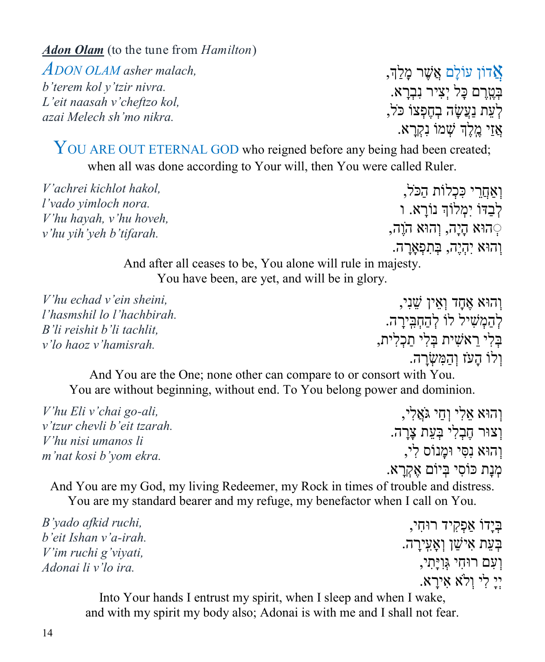*Adon Olam* (to the tune from *Hamilton*)

*ADON OLAM asher malach, b'terem kol y'tzir nivra. L'eit naasah v'cheftzo kol, azai Melech sh'mo nikra.*

אֲדוֹן עוֹלַם אֲשֶׁר מַלַּךְ, בְּטֶ ֵֽרֶ ם ּכָּל יְּצִיר נִבְּרָּ א. לִעַת נַעֲשׂה בְחֶפְּצוֹ כֹּל, אֲזַי מֶ ֵֽלְֶך שְּמֹו נִקְּרָּ א.

YOU ARE OUT ETERNAL GOD who reigned before any being had been created; when all was done according to Your will, then You were called Ruler.

| V'achrei kichlot hakol,                                   | ַ וְאֲחֲרֵי כְּכְלוֹת הַכֹּל, |
|-----------------------------------------------------------|-------------------------------|
| l'vado yimloch nora.                                      | לְבַדוֹ יִמְלוֹךְ נוֹרֵא. ו   |
| V'hu hayah, v'hu hoveh,<br><i>v'hu yih'yeh b'tifarah.</i> | ़הוּא הָיַה, וְהוּא הֹוֵה,    |
|                                                           | וְהוּא יְהָיֶה, בְּתִפְאֲרָה. |

And after all ceases to be, You alone will rule in majesty. You have been, are yet, and will be in glory.

*V'hu echad v'ein sheini, l'hasmshil lo l'hachbirah. B'li reishit b'li tachlit, v'lo haoz v'hamisrah.* וְּהּוא אֶחָּד וְּאֵין שֵנִי, לְּהַמְּשִיל לֹו לְּהַחְּבִ ֵֽירָּ ה. בְּלִי רֵ אשִית בְּלִי תַכְּלִית, וְלֹוֹ הָעֹז וִהְמֵשְׂרָה.

And You are the One; none other can compare to or consort with You. You are without beginning, without end. To You belong power and dominion.

*V'hu Eli v'chai go-ali, v'tzur chevli b'eit tzarah. V'hu nisi umanos li m'nat kosi b'yom ekra.* וְּהּוא אֵלִי וְּחַי ג ֹאֲלִי, וְצוּר חֶבְלִי בְּעַת צַרֲה. וְּהּוא נִסִי ּומָּנֹוס לִי, מְּנָּת ּכֹוסִי בְּיֹום אֶקְּרָּ א.

And You are my God, my living Redeemer, my Rock in times of trouble and distress. You are my standard bearer and my refuge, my benefactor when I call on You.

*B'yado afkid ruchi, b'eit Ishan v'a-irah. V'im ruchi g'viyati, Adonai li v'lo ira.* בְּיָּדֹו ַאפְּקִיד רּוחִי, בְּעֵת אִישַן וְָּאעִ ֵֽירָּ ה. וְּעִם רּוחִי גְּוִיָּתִי, יְּיָּ לִי וְֹּלא אִירָּ א.

Into Your hands I entrust my spirit, when I sleep and when I wake, and with my spirit my body also; Adonai is with me and I shall not fear.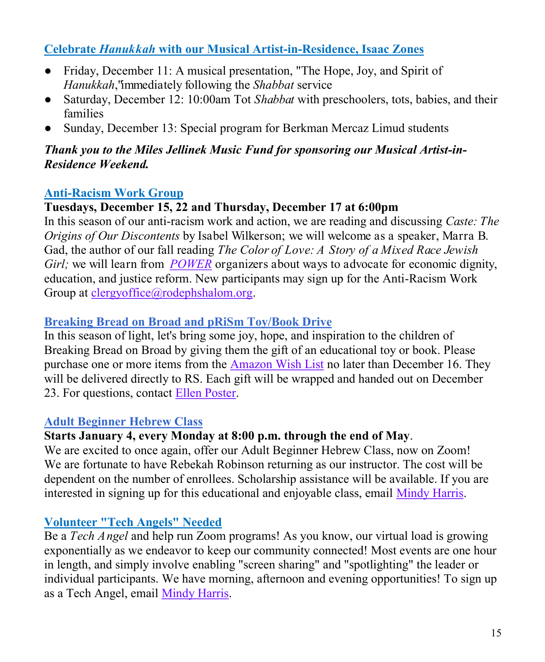#### **Celebrate** *Hanukkah* **with our Musical Artist-in-Residence, Isaac Zones**

- Friday, December 11: A musical presentation, "The Hope, Joy, and Spirit of *Hanukkah*," immediately following the *Shabbat* service
- Saturday, December 12: 10:00am Tot *Shabbat* with preschoolers, tots, babies, and their families
- Sunday, December 13: Special program for Berkman Mercaz Limud students

#### **Thank you to the Miles Jellinek Music Fund for sponsoring our Musical Artist-in-***Residence Weekend.*

#### **Anti-Racism Work Group**

#### **Tuesdays, December 15, 22 and Thursday, December 17 at 6:00pm**

In this season of our anti-racism work and action, we are reading and discussing *Caste: The Origins of Our Discontents* by Isabel Wilkerson; we will welcome as a speaker, Marra B. Gad, the author of our fall reading *The Color of Love: A Story of a Mixed Race Jewish Girl;* we will learn from *[POWER](https://powerinterfaith.org/)* organizers about ways to advocate for economic dignity, education, and justice reform. New participants may sign up for the Anti-Racism Work Group at clergyoffice@rodephshalom.org.

#### **Breaking Bread on Broad and pRiSm Toy/Book Drive**

In this season of light, let's bring some joy, hope, and inspiration to the children of Breaking Bread on Broad by giving them the gift of an educational toy or book. Please purchase one or more items from the [Amazon Wish List](http://r20.rs6.net/tn.jsp?f=0013bOWgWj2KtyQavkZbB7fQuV6i-xOyhQE9cjxTdO4p63noQDLOc4KrpuEZMtg_pVcKt78NRLf4qJjMy6TiF8vHl_ZVt_uGcFLfRMRqsQ28Nsr9sMDjZP98pNlBnzeOKNthF3yF7GOJ8k=&c=rGvVbkya6ePIOptoECYklO1XFURNMz114gqO5wHGIioX3Pc6yIvS6w==&ch=-teYWPOhRQ7gVLjI0z6kvz) no later than December 16. They will be delivered directly to RS. Each gift will be wrapped and handed out on December 23. For questions, contact [Ellen Poster.](mailto:ellenajme@aol.com)

#### **Adult Beginner Hebrew Class**

#### **Starts January 4, every Monday at 8:00 p.m. through the end of May**.

We are excited to once again, offer our Adult Beginner Hebrew Class, now on Zoom! We are fortunate to have Rebekah Robinson returning as our instructor. The cost will be dependent on the number of enrollees. Scholarship assistance will be available. If you are interested in signing up for this educational and enjoyable class, email [Mindy Harris.](mailto:mharris@rodephshalom.org)

#### **Volunteer "Tech Angels" Needed**

Be a *Tech Angel* and help run Zoom programs! As you know, our virtual load is growing exponentially as we endeavor to keep our community connected! Most events are one hour in length, and simply involve enabling "screen sharing" and "spotlighting" the leader or individual participants. We have morning, afternoon and evening opportunities! To sign up as a Tech Angel, email [Mindy Harris.](mailto:mharris@rodephshalom.org)